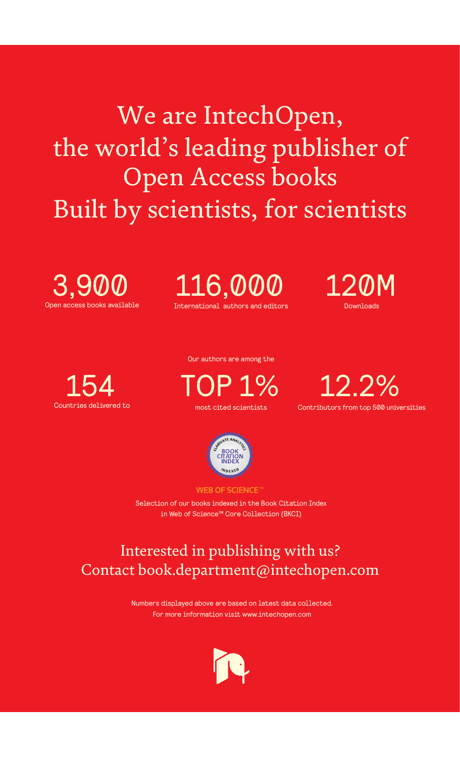We are IntechOpen, the world's leading publisher of Open Access books Built by scientists, for scientists

Open access books available 3,900

International authors and editors 116,000 120M

**Downloads** 



Our authors are among the

most cited scientists TOP 1%





**WEB OF SCIENCE** 

Selection of our books indexed in the Book Citation Index in Web of Science™ Core Collection (BKCI)

# Interested in publishing with us? Contact book.department@intechopen.com

Numbers displayed above are based on latest data collected. For more information visit www.intechopen.com

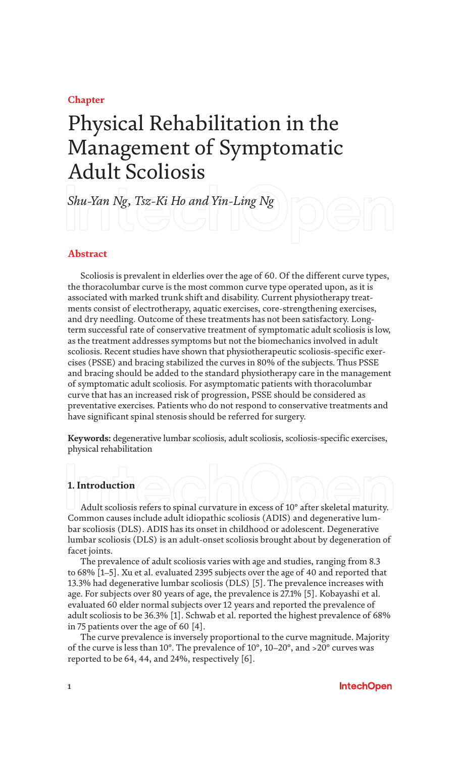### **Chapter**

# Physical Rehabilitation in the Management of Symptomatic Adult Scoliosis

*Shu-Yan Ng, Tsz-Ki Ho and Yin-Ling Ng*

### **Abstract**

Scoliosis is prevalent in elderlies over the age of 60. Of the different curve types, the thoracolumbar curve is the most common curve type operated upon, as it is associated with marked trunk shift and disability. Current physiotherapy treatments consist of electrotherapy, aquatic exercises, core-strengthening exercises, and dry needling. Outcome of these treatments has not been satisfactory. Longterm successful rate of conservative treatment of symptomatic adult scoliosis is low, as the treatment addresses symptoms but not the biomechanics involved in adult scoliosis. Recent studies have shown that physiotherapeutic scoliosis-specific exercises (PSSE) and bracing stabilized the curves in 80% of the subjects. Thus PSSE and bracing should be added to the standard physiotherapy care in the management of symptomatic adult scoliosis. For asymptomatic patients with thoracolumbar curve that has an increased risk of progression, PSSE should be considered as preventative exercises. Patients who do not respond to conservative treatments and have significant spinal stenosis should be referred for surgery.

**Keywords:** degenerative lumbar scoliosis, adult scoliosis, scoliosis-specific exercises, physical rehabilitation

### **1. Introduction**

Adult scoliosis refers to spinal curvature in excess of 10° after skeletal maturity. Common causes include adult idiopathic scoliosis (ADIS) and degenerative lumbar scoliosis (DLS). ADIS has its onset in childhood or adolescent. Degenerative lumbar scoliosis (DLS) is an adult-onset scoliosis brought about by degeneration of facet joints.

The prevalence of adult scoliosis varies with age and studies, ranging from 8.3 to 68% [1–5]. Xu et al. evaluated 2395 subjects over the age of 40 and reported that 13.3% had degenerative lumbar scoliosis (DLS) [5]. The prevalence increases with age. For subjects over 80 years of age, the prevalence is 27.1% [5]. Kobayashi et al. evaluated 60 elder normal subjects over 12 years and reported the prevalence of adult scoliosis to be 36.3% [1]. Schwab et al. reported the highest prevalence of 68% in 75 patients over the age of 60 [4].

The curve prevalence is inversely proportional to the curve magnitude. Majority of the curve is less than 10°. The prevalence of 10°, 10–20°, and >20° curves was reported to be 64, 44, and 24%, respectively [6].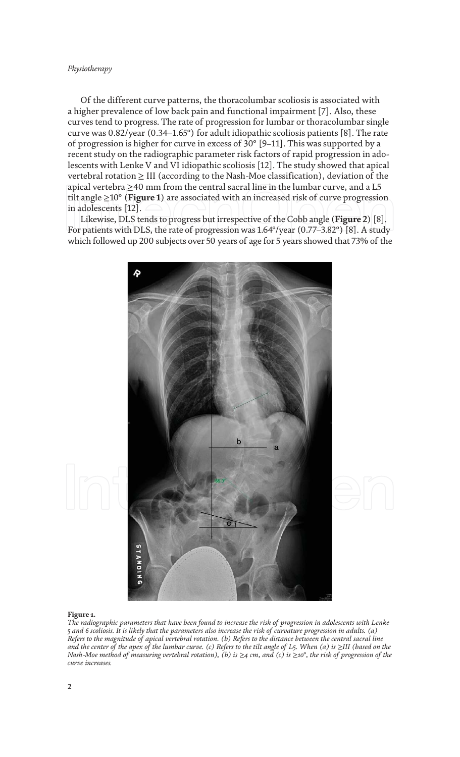#### *Physiotherapy*

Of the different curve patterns, the thoracolumbar scoliosis is associated with a higher prevalence of low back pain and functional impairment [7]. Also, these curves tend to progress. The rate of progression for lumbar or thoracolumbar single curve was 0.82/year (0.34–1.65°) for adult idiopathic scoliosis patients [8]. The rate of progression is higher for curve in excess of 30° [9–11]. This was supported by a recent study on the radiographic parameter risk factors of rapid progression in adolescents with Lenke V and VI idiopathic scoliosis [12]. The study showed that apical vertebral rotation  $\geq$  III (according to the Nash-Moe classification), deviation of the apical vertebra  $\geq$ 40 mm from the central sacral line in the lumbar curve, and a L5 tilt angle ≥10° (**Figure 1**) are associated with an increased risk of curve progression in adolescents [12].

Likewise, DLS tends to progress but irrespective of the Cobb angle (**Figure 2**) [8]. For patients with DLS, the rate of progression was 1.64°/year (0.77–3.82°) [8]. A study which followed up 200 subjects over 50 years of age for 5 years showed that 73% of the



#### **Figure 1.**

*The radiographic parameters that have been found to increase the risk of progression in adolescents with Lenke 5 and 6 scoliosis. It is likely that the parameters also increase the risk of curvature progression in adults. (a) Refers to the magnitude of apical vertebral rotation. (b) Refers to the distance between the central sacral line and the center of the apex of the lumbar curve. (c) Refers to the tilt angle of L5. When (a) is ≥III (based on the Nash-Moe method of measuring vertebral rotation), (b) is* ≥*4 cm, and (c) is* ≥*10°, the risk of progression of the curve increases.*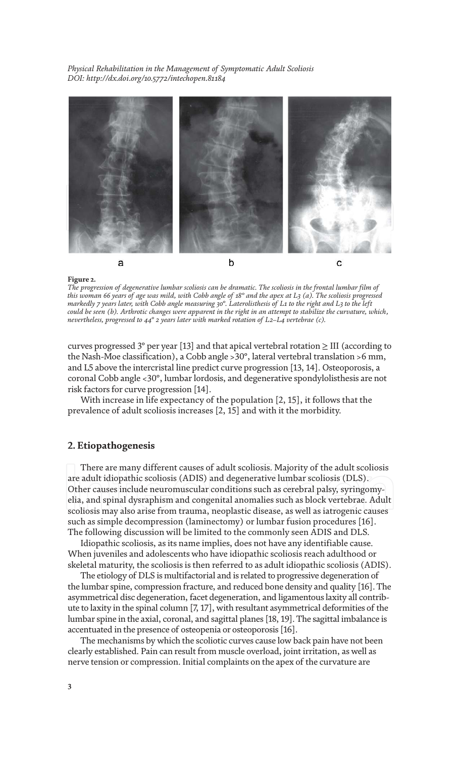

#### **Figure 2.**

*The progression of degenerative lumbar scoliosis can be dramatic. The scoliosis in the frontal lumbar film of this woman 66 years of age was mild, with Cobb angle of 18° and the apex at L3 (a). The scoliosis progressed markedly 7 years later, with Cobb angle measuring 30°. Laterolisthesis of L1 to the right and L3 to the left could be seen (b). Arthrotic changes were apparent in the right in an attempt to stabilize the curvature, which, nevertheless, progressed to 44° 2 years later with marked rotation of L2–L4 vertebrae (c).*

curves progressed 3° per year [13] and that apical vertebral rotation  $\geq$  III (according to the Nash-Moe classification), a Cobb angle >30°, lateral vertebral translation >6 mm, and L5 above the intercristal line predict curve progression [13, 14]. Osteoporosis, a coronal Cobb angle <30°, lumbar lordosis, and degenerative spondylolisthesis are not risk factors for curve progression [14].

With increase in life expectancy of the population [2, 15], it follows that the prevalence of adult scoliosis increases [2, 15] and with it the morbidity.

### **2. Etiopathogenesis**

There are many different causes of adult scoliosis. Majority of the adult scoliosis are adult idiopathic scoliosis (ADIS) and degenerative lumbar scoliosis (DLS). Other causes include neuromuscular conditions such as cerebral palsy, syringomyelia, and spinal dysraphism and congenital anomalies such as block vertebrae. Adult scoliosis may also arise from trauma, neoplastic disease, as well as iatrogenic causes such as simple decompression (laminectomy) or lumbar fusion procedures [16]. The following discussion will be limited to the commonly seen ADIS and DLS.

Idiopathic scoliosis, as its name implies, does not have any identifiable cause. When juveniles and adolescents who have idiopathic scoliosis reach adulthood or skeletal maturity, the scoliosis is then referred to as adult idiopathic scoliosis (ADIS).

The etiology of DLS is multifactorial and is related to progressive degeneration of the lumbar spine, compression fracture, and reduced bone density and quality [16]. The asymmetrical disc degeneration, facet degeneration, and ligamentous laxity all contribute to laxity in the spinal column [7, 17], with resultant asymmetrical deformities of the lumbar spine in the axial, coronal, and sagittal planes [18, 19]. The sagittal imbalance is accentuated in the presence of osteopenia or osteoporosis [16].

The mechanisms by which the scoliotic curves cause low back pain have not been clearly established. Pain can result from muscle overload, joint irritation, as well as nerve tension or compression. Initial complaints on the apex of the curvature are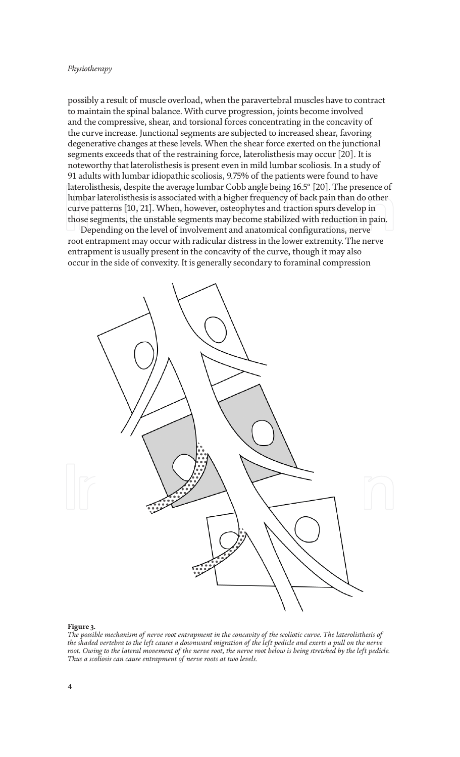#### *Physiotherapy*

possibly a result of muscle overload, when the paravertebral muscles have to contract to maintain the spinal balance. With curve progression, joints become involved and the compressive, shear, and torsional forces concentrating in the concavity of the curve increase. Junctional segments are subjected to increased shear, favoring degenerative changes at these levels. When the shear force exerted on the junctional segments exceeds that of the restraining force, laterolisthesis may occur [20]. It is noteworthy that laterolisthesis is present even in mild lumbar scoliosis. In a study of 91 adults with lumbar idiopathic scoliosis, 9.75% of the patients were found to have laterolisthesis, despite the average lumbar Cobb angle being 16.5° [20]. The presence of lumbar laterolisthesis is associated with a higher frequency of back pain than do other curve patterns [10, 21]. When, however, osteophytes and traction spurs develop in those segments, the unstable segments may become stabilized with reduction in pain.

Depending on the level of involvement and anatomical configurations, nerve root entrapment may occur with radicular distress in the lower extremity. The nerve entrapment is usually present in the concavity of the curve, though it may also occur in the side of convexity. It is generally secondary to foraminal compression



#### **Figure 3.**

*The possible mechanism of nerve root entrapment in the concavity of the scoliotic curve. The laterolisthesis of the shaded vertebra to the left causes a downward migration of the left pedicle and exerts a pull on the nerve*  root. Owing to the lateral movement of the nerve root, the nerve root below is being stretched by the left pedicle. *Thus a scoliosis can cause entrapment of nerve roots at two levels.*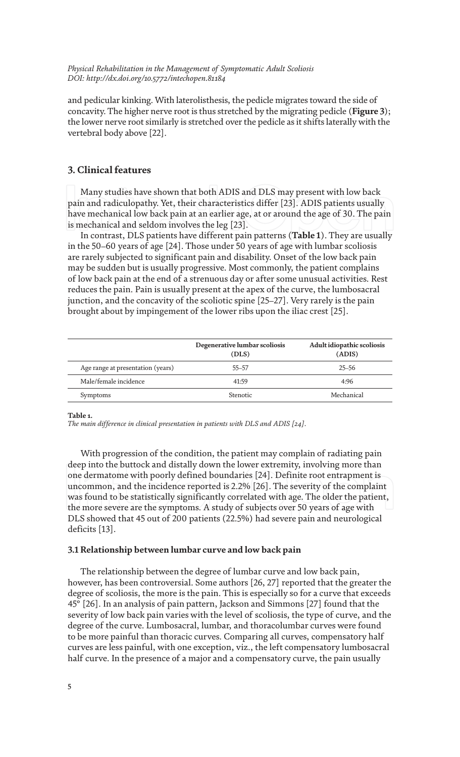and pedicular kinking. With laterolisthesis, the pedicle migrates toward the side of concavity. The higher nerve root is thus stretched by the migrating pedicle (**Figure 3**); the lower nerve root similarly is stretched over the pedicle as it shifts laterally with the vertebral body above [22].

### **3. Clinical features**

Many studies have shown that both ADIS and DLS may present with low back pain and radiculopathy. Yet, their characteristics differ [23]. ADIS patients usually have mechanical low back pain at an earlier age, at or around the age of 30. The pain is mechanical and seldom involves the leg [23].

In contrast, DLS patients have different pain patterns (**Table 1**). They are usually in the 50–60 years of age [24]. Those under 50 years of age with lumbar scoliosis are rarely subjected to significant pain and disability. Onset of the low back pain may be sudden but is usually progressive. Most commonly, the patient complains of low back pain at the end of a strenuous day or after some unusual activities. Rest reduces the pain. Pain is usually present at the apex of the curve, the lumbosacral junction, and the concavity of the scoliotic spine [25–27]. Very rarely is the pain brought about by impingement of the lower ribs upon the iliac crest [25].

|                                   | Degenerative lumbar scoliosis<br>(DLS) | Adult idiopathic scoliosis<br>(ADIS) |
|-----------------------------------|----------------------------------------|--------------------------------------|
| Age range at presentation (years) | $55 - 57$                              | $25 - 56$                            |
| Male/female incidence             | 41:59                                  | 4:96                                 |
| Symptoms                          | <b>Stenotic</b>                        | Mechanical                           |

**Table 1.**

*The main difference in clinical presentation in patients with DLS and ADIS [24].*

With progression of the condition, the patient may complain of radiating pain deep into the buttock and distally down the lower extremity, involving more than one dermatome with poorly defined boundaries [24]. Definite root entrapment is uncommon, and the incidence reported is 2.2% [26]. The severity of the complaint was found to be statistically significantly correlated with age. The older the patient, the more severe are the symptoms. A study of subjects over 50 years of age with DLS showed that 45 out of 200 patients (22.5%) had severe pain and neurological deficits [13].

### **3.1 Relationship between lumbar curve and low back pain**

The relationship between the degree of lumbar curve and low back pain, however, has been controversial. Some authors [26, 27] reported that the greater the degree of scoliosis, the more is the pain. This is especially so for a curve that exceeds 45° [26]. In an analysis of pain pattern, Jackson and Simmons [27] found that the severity of low back pain varies with the level of scoliosis, the type of curve, and the degree of the curve. Lumbosacral, lumbar, and thoracolumbar curves were found to be more painful than thoracic curves. Comparing all curves, compensatory half curves are less painful, with one exception, viz., the left compensatory lumbosacral half curve. In the presence of a major and a compensatory curve, the pain usually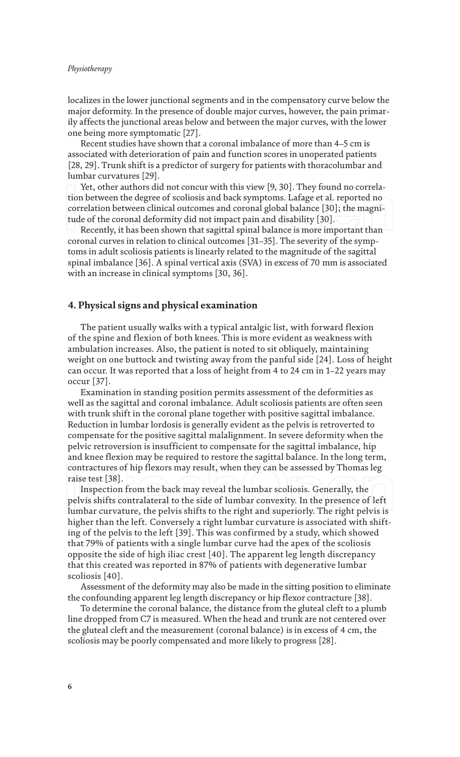#### *Physiotherapy*

localizes in the lower junctional segments and in the compensatory curve below the major deformity. In the presence of double major curves, however, the pain primarily affects the junctional areas below and between the major curves, with the lower one being more symptomatic [27].

Recent studies have shown that a coronal imbalance of more than 4–5 cm is associated with deterioration of pain and function scores in unoperated patients [28, 29]. Trunk shift is a predictor of surgery for patients with thoracolumbar and lumbar curvatures [29].

Yet, other authors did not concur with this view [9, 30]. They found no correlation between the degree of scoliosis and back symptoms. Lafage et al. reported no correlation between clinical outcomes and coronal global balance [30]; the magnitude of the coronal deformity did not impact pain and disability [30].

Recently, it has been shown that sagittal spinal balance is more important than coronal curves in relation to clinical outcomes [31–35]. The severity of the symptoms in adult scoliosis patients is linearly related to the magnitude of the sagittal spinal imbalance [36]. A spinal vertical axis (SVA) in excess of 70 mm is associated with an increase in clinical symptoms [30, 36].

### **4. Physical signs and physical examination**

The patient usually walks with a typical antalgic list, with forward flexion of the spine and flexion of both knees. This is more evident as weakness with ambulation increases. Also, the patient is noted to sit obliquely, maintaining weight on one buttock and twisting away from the panful side [24]. Loss of height can occur. It was reported that a loss of height from 4 to 24 cm in 1–22 years may occur [37].

Examination in standing position permits assessment of the deformities as well as the sagittal and coronal imbalance. Adult scoliosis patients are often seen with trunk shift in the coronal plane together with positive sagittal imbalance. Reduction in lumbar lordosis is generally evident as the pelvis is retroverted to compensate for the positive sagittal malalignment. In severe deformity when the pelvic retroversion is insufficient to compensate for the sagittal imbalance, hip and knee flexion may be required to restore the sagittal balance. In the long term, contractures of hip flexors may result, when they can be assessed by Thomas leg raise test [38].

Inspection from the back may reveal the lumbar scoliosis. Generally, the pelvis shifts contralateral to the side of lumbar convexity. In the presence of left lumbar curvature, the pelvis shifts to the right and superiorly. The right pelvis is higher than the left. Conversely a right lumbar curvature is associated with shifting of the pelvis to the left [39]. This was confirmed by a study, which showed that 79% of patients with a single lumbar curve had the apex of the scoliosis opposite the side of high iliac crest [40]. The apparent leg length discrepancy that this created was reported in 87% of patients with degenerative lumbar scoliosis [40].

Assessment of the deformity may also be made in the sitting position to eliminate the confounding apparent leg length discrepancy or hip flexor contracture [38].

To determine the coronal balance, the distance from the gluteal cleft to a plumb line dropped from C7 is measured. When the head and trunk are not centered over the gluteal cleft and the measurement (coronal balance) is in excess of 4 cm, the scoliosis may be poorly compensated and more likely to progress [28].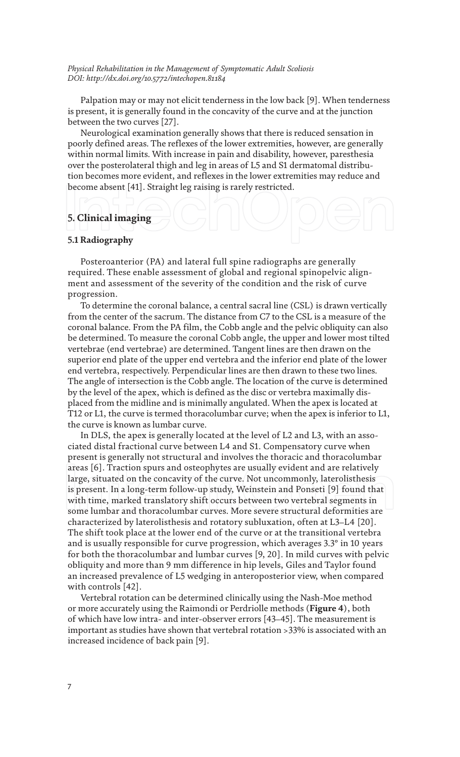Palpation may or may not elicit tenderness in the low back [9]. When tenderness is present, it is generally found in the concavity of the curve and at the junction between the two curves [27].

Neurological examination generally shows that there is reduced sensation in poorly defined areas. The reflexes of the lower extremities, however, are generally within normal limits. With increase in pain and disability, however, paresthesia over the posterolateral thigh and leg in areas of L5 and S1 dermatomal distribution becomes more evident, and reflexes in the lower extremities may reduce and become absent [41]. Straight leg raising is rarely restricted.

## **5. Clinical imaging**

### **5.1 Radiography**

Posteroanterior (PA) and lateral full spine radiographs are generally required. These enable assessment of global and regional spinopelvic alignment and assessment of the severity of the condition and the risk of curve progression.

To determine the coronal balance, a central sacral line (CSL) is drawn vertically from the center of the sacrum. The distance from C7 to the CSL is a measure of the coronal balance. From the PA film, the Cobb angle and the pelvic obliquity can also be determined. To measure the coronal Cobb angle, the upper and lower most tilted vertebrae (end vertebrae) are determined. Tangent lines are then drawn on the superior end plate of the upper end vertebra and the inferior end plate of the lower end vertebra, respectively. Perpendicular lines are then drawn to these two lines. The angle of intersection is the Cobb angle. The location of the curve is determined by the level of the apex, which is defined as the disc or vertebra maximally displaced from the midline and is minimally angulated. When the apex is located at T12 or L1, the curve is termed thoracolumbar curve; when the apex is inferior to L1, the curve is known as lumbar curve.

In DLS, the apex is generally located at the level of L2 and L3, with an associated distal fractional curve between L4 and S1. Compensatory curve when present is generally not structural and involves the thoracic and thoracolumbar areas [6]. Traction spurs and osteophytes are usually evident and are relatively large, situated on the concavity of the curve. Not uncommonly, laterolisthesis is present. In a long-term follow-up study, Weinstein and Ponseti [9] found that with time, marked translatory shift occurs between two vertebral segments in some lumbar and thoracolumbar curves. More severe structural deformities are characterized by laterolisthesis and rotatory subluxation, often at L3–L4 [20]. The shift took place at the lower end of the curve or at the transitional vertebra and is usually responsible for curve progression, which averages 3.3° in 10 years for both the thoracolumbar and lumbar curves [9, 20]. In mild curves with pelvic obliquity and more than 9 mm difference in hip levels, Giles and Taylor found an increased prevalence of L5 wedging in anteroposterior view, when compared with controls [42].

Vertebral rotation can be determined clinically using the Nash-Moe method or more accurately using the Raimondi or Perdriolle methods (**Figure 4**), both of which have low intra- and inter-observer errors [43–45]. The measurement is important as studies have shown that vertebral rotation >33% is associated with an increased incidence of back pain [9].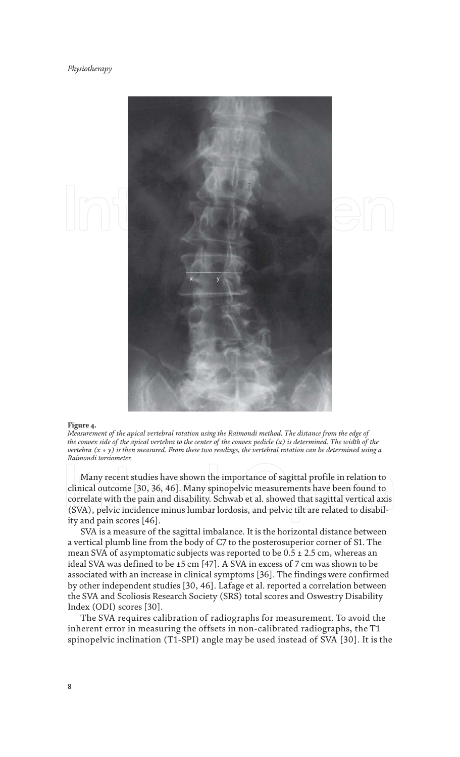

#### **Figure 4.**

*Measurement of the apical vertebral rotation using the Raimondi method. The distance from the edge of the convex side of the apical vertebra to the center of the convex pedicle (x) is determined. The width of the vertebra (x + y) is then measured. From these two readings, the vertebral rotation can be determined using a Raimondi torsiometer.*

Many recent studies have shown the importance of sagittal profile in relation to clinical outcome [30, 36, 46]. Many spinopelvic measurements have been found to correlate with the pain and disability. Schwab et al. showed that sagittal vertical axis (SVA), pelvic incidence minus lumbar lordosis, and pelvic tilt are related to disability and pain scores [46].

SVA is a measure of the sagittal imbalance. It is the horizontal distance between a vertical plumb line from the body of C7 to the posterosuperior corner of S1. The mean SVA of asymptomatic subjects was reported to be  $0.5 \pm 2.5$  cm, whereas an ideal SVA was defined to be ±5 cm [47]. A SVA in excess of 7 cm was shown to be associated with an increase in clinical symptoms [36]. The findings were confirmed by other independent studies [30, 46]. Lafage et al. reported a correlation between the SVA and Scoliosis Research Society (SRS) total scores and Oswestry Disability Index (ODI) scores [30].

The SVA requires calibration of radiographs for measurement. To avoid the inherent error in measuring the offsets in non-calibrated radiographs, the T1 spinopelvic inclination (T1-SPI) angle may be used instead of SVA [30]. It is the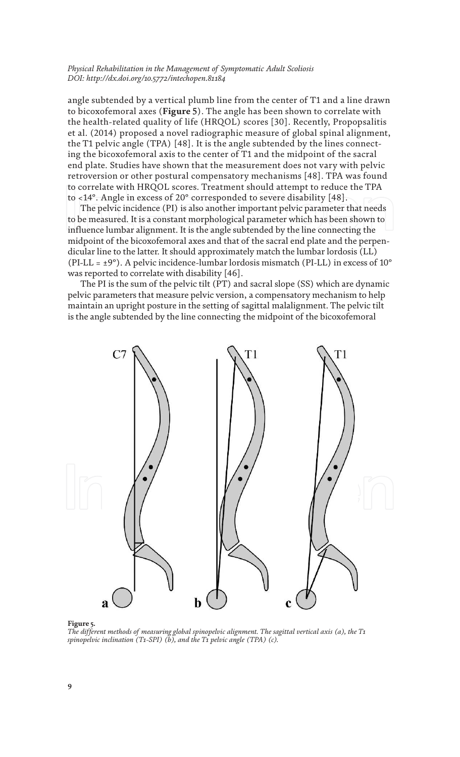angle subtended by a vertical plumb line from the center of T1 and a line drawn to bicoxofemoral axes (**Figure 5**). The angle has been shown to correlate with the health-related quality of life (HRQOL) scores [30]. Recently, Propopsalitis et al. (2014) proposed a novel radiographic measure of global spinal alignment, the T1 pelvic angle (TPA) [48]. It is the angle subtended by the lines connecting the bicoxofemoral axis to the center of T1 and the midpoint of the sacral end plate. Studies have shown that the measurement does not vary with pelvic retroversion or other postural compensatory mechanisms [48]. TPA was found to correlate with HRQOL scores. Treatment should attempt to reduce the TPA to <14°. Angle in excess of 20° corresponded to severe disability [48].

The pelvic incidence (PI) is also another important pelvic parameter that needs to be measured. It is a constant morphological parameter which has been shown to influence lumbar alignment. It is the angle subtended by the line connecting the midpoint of the bicoxofemoral axes and that of the sacral end plate and the perpendicular line to the latter. It should approximately match the lumbar lordosis (LL) (PI-LL =  $\pm$ 9°). A pelvic incidence-lumbar lordosis mismatch (PI-LL) in excess of 10° was reported to correlate with disability [46].

The PI is the sum of the pelvic tilt (PT) and sacral slope (SS) which are dynamic pelvic parameters that measure pelvic version, a compensatory mechanism to help maintain an upright posture in the setting of sagittal malalignment. The pelvic tilt is the angle subtended by the line connecting the midpoint of the bicoxofemoral



#### **Figure 5.**

*The different methods of measuring global spinopelvic alignment. The sagittal vertical axis (a), the T1 spinopelvic inclination (T1-SPI) (b), and the T1 pelvic angle (TPA) (c).*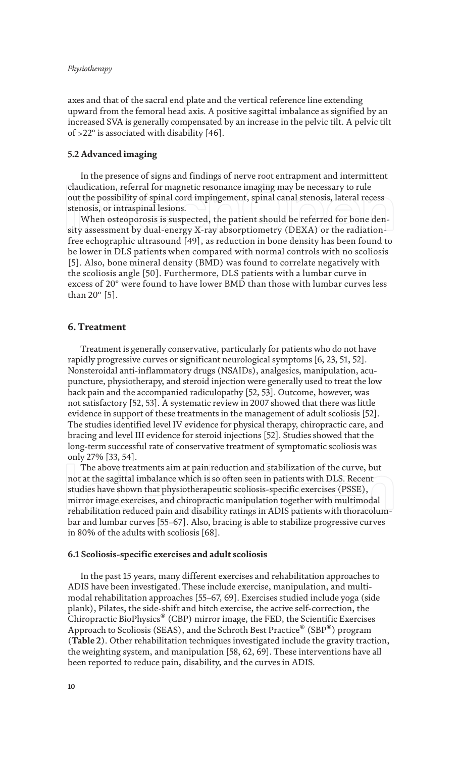axes and that of the sacral end plate and the vertical reference line extending upward from the femoral head axis. A positive sagittal imbalance as signified by an increased SVA is generally compensated by an increase in the pelvic tilt. A pelvic tilt of >22° is associated with disability [46].

### **5.2 Advanced imaging**

In the presence of signs and findings of nerve root entrapment and intermittent claudication, referral for magnetic resonance imaging may be necessary to rule out the possibility of spinal cord impingement, spinal canal stenosis, lateral recess stenosis, or intraspinal lesions.

When osteoporosis is suspected, the patient should be referred for bone density assessment by dual-energy X-ray absorptiometry (DEXA) or the radiationfree echographic ultrasound [49], as reduction in bone density has been found to be lower in DLS patients when compared with normal controls with no scoliosis [5]. Also, bone mineral density (BMD) was found to correlate negatively with the scoliosis angle [50]. Furthermore, DLS patients with a lumbar curve in excess of 20° were found to have lower BMD than those with lumbar curves less than 20° [5].

### **6. Treatment**

Treatment is generally conservative, particularly for patients who do not have rapidly progressive curves or significant neurological symptoms [6, 23, 51, 52]. Nonsteroidal anti-inflammatory drugs (NSAIDs), analgesics, manipulation, acupuncture, physiotherapy, and steroid injection were generally used to treat the low back pain and the accompanied radiculopathy [52, 53]. Outcome, however, was not satisfactory [52, 53]. A systematic review in 2007 showed that there was little evidence in support of these treatments in the management of adult scoliosis [52]. The studies identified level IV evidence for physical therapy, chiropractic care, and bracing and level III evidence for steroid injections [52]. Studies showed that the long-term successful rate of conservative treatment of symptomatic scoliosis was only 27% [33, 54].

The above treatments aim at pain reduction and stabilization of the curve, but not at the sagittal imbalance which is so often seen in patients with DLS. Recent studies have shown that physiotherapeutic scoliosis-specific exercises (PSSE), mirror image exercises, and chiropractic manipulation together with multimodal rehabilitation reduced pain and disability ratings in ADIS patients with thoracolumbar and lumbar curves [55–67]. Also, bracing is able to stabilize progressive curves in 80% of the adults with scoliosis [68].

#### **6.1 Scoliosis-specific exercises and adult scoliosis**

In the past 15 years, many different exercises and rehabilitation approaches to ADIS have been investigated. These include exercise, manipulation, and multimodal rehabilitation approaches [55–67, 69]. Exercises studied include yoga (side plank), Pilates, the side-shift and hitch exercise, the active self-correction, the Chiropractic BioPhysics® (CBP) mirror image, the FED, the Scientific Exercises Approach to Scoliosis (SEAS), and the Schroth Best Practice® (SBP®) program (**Table 2**). Other rehabilitation techniques investigated include the gravity traction, the weighting system, and manipulation [58, 62, 69]. These interventions have all been reported to reduce pain, disability, and the curves in ADIS.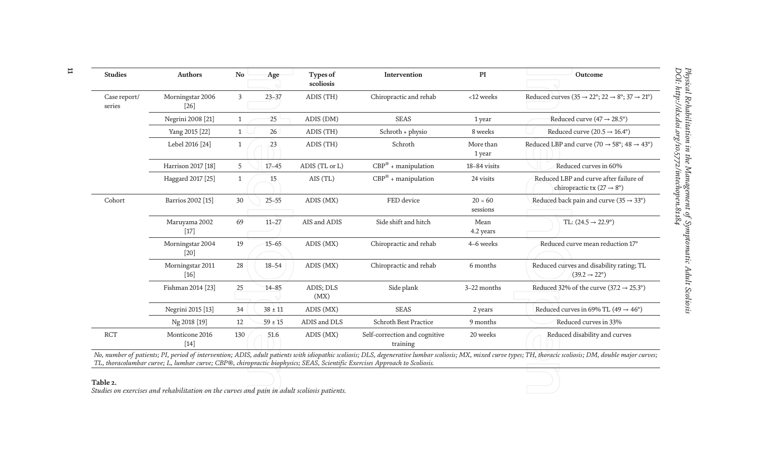| <b>Studies</b>         | <b>Authors</b>             | No           | Age         | Types of<br>scoliosis | Intervention                              | PI                    | Outcome                                                                                           |
|------------------------|----------------------------|--------------|-------------|-----------------------|-------------------------------------------|-----------------------|---------------------------------------------------------------------------------------------------|
| Case report/<br>series | Morningstar 2006<br>$[26]$ | 3            | $23 - 37$   | ADIS (TH)             | Chiropractic and rehab                    | <12 weeks             | Reduced curves $(35 \rightarrow 22^{\circ}; 22 \rightarrow 8^{\circ}; 37 \rightarrow 21^{\circ})$ |
|                        | Negrini 2008 [21]          | $\mathbf{1}$ | 25          | ADIS (DM)             | <b>SEAS</b>                               | 1 year                | Reduced curve (47 $\rightarrow$ 28.5°)                                                            |
|                        | Yang 2015 [22]             | $\mathbf{1}$ | 26          | ADIS (TH)             | Schroth + physio                          | 8 weeks               | Reduced curve $(20.5 \rightarrow 16.4^{\circ})$                                                   |
|                        | Lebel 2016 [24]            | $\mathbf{1}$ | 23          | ADIS (TH)             | Schroth                                   | More than<br>1 year   | Reduced LBP and curve (70 $\rightarrow$ 58°; 48 $\rightarrow$ 43°)                                |
|                        | Harrison 2017 [18]         | 5            | $17 - 45$   | ADIS (TL or L)        | $CBP^{\circledR}$ + manipulation          | 18-84 visits          | Reduced curves in 60%                                                                             |
|                        | Haggard 2017 [25]          | $\mathbf{1}$ | 15          | AIS (TL)              | $CBP^{\circledR}$ + manipulation          | 24 visits             | Reduced LBP and curve after failure of<br>chiropractic tx (27 $\rightarrow$ 8°)                   |
| Cohort                 | Barrios 2002 [15]          | 30           | $25 - 55$   | ADIS (MX)             | FED device                                | $20 = 60$<br>sessions | Reduced back pain and curve ( $35 \rightarrow 33^{\circ}$ )                                       |
|                        | Maruyama 2002<br>$[17]$    | 69           | $11 - 27$   | AIS and ADIS          | Side shift and hitch                      | Mean<br>4.2 years     | TL: $(24.5 \rightarrow 22.9^{\circ})$                                                             |
|                        | Morningstar 2004<br>$[20]$ | 19           | $15 - 65$   | ADIS (MX)             | Chiropractic and rehab                    | 4–6 weeks             | Reduced curve mean reduction 17°                                                                  |
|                        | Morningstar 2011<br>$[16]$ | 28           | $18 - 54$   | ADIS (MX)             | Chiropractic and rehab                    | 6 months              | Reduced curves and disability rating; TL<br>$(39.2 \rightarrow 22^{\circ})$                       |
|                        | Fishman 2014 [23]          | 25           | $14 - 85$   | ADIS; DLS<br>(MX)     | Side plank                                | 3-22 months           | Reduced 32% of the curve $(37.2 \rightarrow 25.3^{\circ})$                                        |
|                        | Negrini 2015 [13]          | 34           | $38 \pm 11$ | ADIS (MX)             | <b>SEAS</b>                               | 2 years               | Reduced curves in 69% TL (49 $\rightarrow$ 46°)                                                   |
|                        | Ng 2018 [19]               | 12           | $59 \pm 15$ | ADIS and DLS          | Schroth Best Practice                     | 9 months              | Reduced curves in 33%                                                                             |
| <b>RCT</b>             | Monticone 2016<br>$[14]$   | 130          | 51.6        | ADIS (MX)             | Self-correction and cognitive<br>training | 20 weeks              | Reduced disability and curves                                                                     |

*No, number of patients; PI, period of intervention; ADIS, adult patients with idiopathic scoliosis; DLS, degenerative lumbar scoliosis; MX, mixed curve types; TH, thoracic scoliosis; DM, double major curves; TL, thoracolumbar curve; L, lumbar curve; CBP®, chiropractic biophysics; SEAS, Scientific Exercises Approach to Scoliosis.*

#### **Table 2.**

*Studies on exercises and rehabilitation on the curves and pain in adult scoliosis patients.*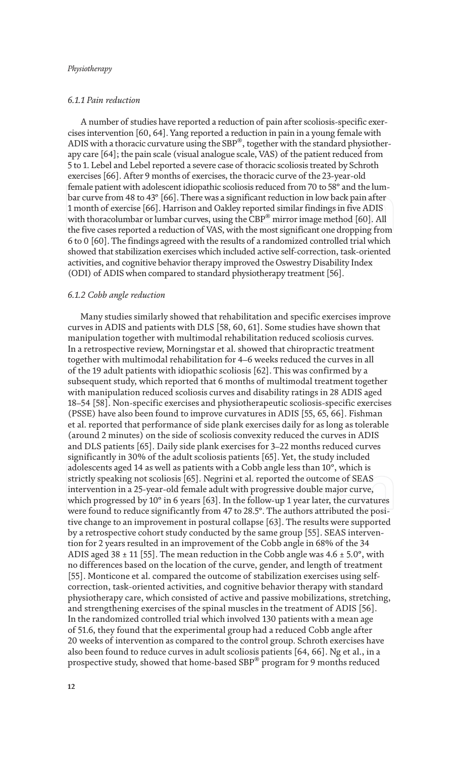### *6.1.1 Pain reduction*

A number of studies have reported a reduction of pain after scoliosis-specific exercises intervention [60, 64]. Yang reported a reduction in pain in a young female with ADIS with a thoracic curvature using the SBP $^\circledast$ , together with the standard physiotherapy care [64]; the pain scale (visual analogue scale, VAS) of the patient reduced from 5 to 1. Lebel and Lebel reported a severe case of thoracic scoliosis treated by Schroth exercises [66]. After 9 months of exercises, the thoracic curve of the 23-year-old female patient with adolescent idiopathic scoliosis reduced from 70 to 58° and the lumbar curve from 48 to 43° [66]. There was a significant reduction in low back pain after 1 month of exercise [66]. Harrison and Oakley reported similar findings in five ADIS with thoracolumbar or lumbar curves, using the  ${{\rm CBP}^{\circledast}}$  mirror image method [60]. All the five cases reported a reduction of VAS, with the most significant one dropping from 6 to 0 [60]. The findings agreed with the results of a randomized controlled trial which showed that stabilization exercises which included active self-correction, task-oriented activities, and cognitive behavior therapy improved the Oswestry Disability Index (ODI) of ADIS when compared to standard physiotherapy treatment [56].

#### *6.1.2 Cobb angle reduction*

Many studies similarly showed that rehabilitation and specific exercises improve curves in ADIS and patients with DLS [58, 60, 61]. Some studies have shown that manipulation together with multimodal rehabilitation reduced scoliosis curves. In a retrospective review, Morningstar et al. showed that chiropractic treatment together with multimodal rehabilitation for 4–6 weeks reduced the curves in all of the 19 adult patients with idiopathic scoliosis [62]. This was confirmed by a subsequent study, which reported that 6 months of multimodal treatment together with manipulation reduced scoliosis curves and disability ratings in 28 ADIS aged 18–54 [58]. Non-specific exercises and physiotherapeutic scoliosis-specific exercises (PSSE) have also been found to improve curvatures in ADIS [55, 65, 66]. Fishman et al. reported that performance of side plank exercises daily for as long as tolerable (around 2 minutes) on the side of scoliosis convexity reduced the curves in ADIS and DLS patients [65]. Daily side plank exercises for 3–22 months reduced curves significantly in 30% of the adult scoliosis patients [65]. Yet, the study included adolescents aged 14 as well as patients with a Cobb angle less than 10°, which is strictly speaking not scoliosis [65]. Negrini et al. reported the outcome of SEAS intervention in a 25-year-old female adult with progressive double major curve, which progressed by 10° in 6 years [63]. In the follow-up 1 year later, the curvatures were found to reduce significantly from 47 to 28.5°. The authors attributed the positive change to an improvement in postural collapse [63]. The results were supported by a retrospective cohort study conducted by the same group [55]. SEAS intervention for 2 years resulted in an improvement of the Cobb angle in 68% of the 34 ADIS aged 38  $\pm$  11 [55]. The mean reduction in the Cobb angle was 4.6  $\pm$  5.0°, with no differences based on the location of the curve, gender, and length of treatment [55]. Monticone et al. compared the outcome of stabilization exercises using selfcorrection, task-oriented activities, and cognitive behavior therapy with standard physiotherapy care, which consisted of active and passive mobilizations, stretching, and strengthening exercises of the spinal muscles in the treatment of ADIS [56]. In the randomized controlled trial which involved 130 patients with a mean age of 51.6, they found that the experimental group had a reduced Cobb angle after 20 weeks of intervention as compared to the control group. Schroth exercises have also been found to reduce curves in adult scoliosis patients [64, 66]. Ng et al., in a prospective study, showed that home-based SBP $^\circledast$  program for 9 months reduced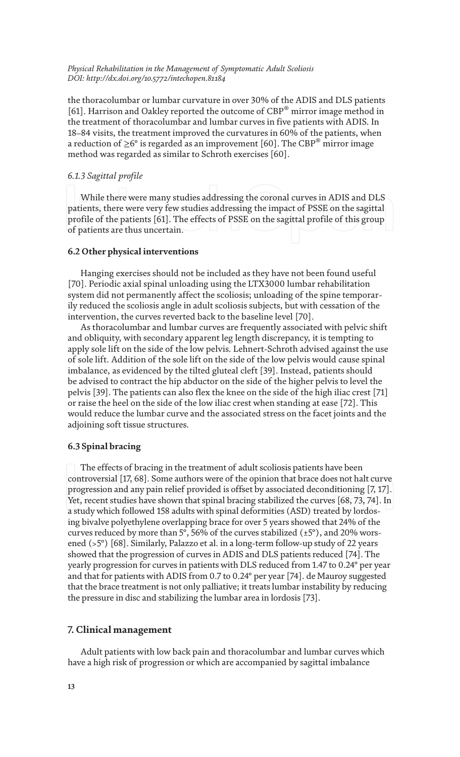the thoracolumbar or lumbar curvature in over 30% of the ADIS and DLS patients [61]. Harrison and Oakley reported the outcome of CBP® mirror image method in the treatment of thoracolumbar and lumbar curves in five patients with ADIS. In 18–84 visits, the treatment improved the curvatures in 60% of the patients, when a reduction of  $\geq$ 6° is regarded as an improvement [60]. The CBP $^\circledast$  mirror image method was regarded as similar to Schroth exercises [60].

#### *6.1.3 Sagittal profile*

While there were many studies addressing the coronal curves in ADIS and DLS patients, there were very few studies addressing the impact of PSSE on the sagittal profile of the patients [61]. The effects of PSSE on the sagittal profile of this group of patients are thus uncertain.

### **6.2 Other physical interventions**

Hanging exercises should not be included as they have not been found useful [70]. Periodic axial spinal unloading using the LTX3000 lumbar rehabilitation system did not permanently affect the scoliosis; unloading of the spine temporarily reduced the scoliosis angle in adult scoliosis subjects, but with cessation of the intervention, the curves reverted back to the baseline level [70].

As thoracolumbar and lumbar curves are frequently associated with pelvic shift and obliquity, with secondary apparent leg length discrepancy, it is tempting to apply sole lift on the side of the low pelvis. Lehnert-Schroth advised against the use of sole lift. Addition of the sole lift on the side of the low pelvis would cause spinal imbalance, as evidenced by the tilted gluteal cleft [39]. Instead, patients should be advised to contract the hip abductor on the side of the higher pelvis to level the pelvis [39]. The patients can also flex the knee on the side of the high iliac crest [71] or raise the heel on the side of the low iliac crest when standing at ease [72]. This would reduce the lumbar curve and the associated stress on the facet joints and the adjoining soft tissue structures.

#### **6.3 Spinal bracing**

The effects of bracing in the treatment of adult scoliosis patients have been controversial [17, 68]. Some authors were of the opinion that brace does not halt curve progression and any pain relief provided is offset by associated deconditioning [7, 17]. Yet, recent studies have shown that spinal bracing stabilized the curves [68, 73, 74]. In a study which followed 158 adults with spinal deformities (ASD) treated by lordosing bivalve polyethylene overlapping brace for over 5 years showed that 24% of the curves reduced by more than 5°, 56% of the curves stabilized  $(\pm 5^{\circ})$ , and 20% worsened (>5°) [68]. Similarly, Palazzo et al. in a long-term follow-up study of 22 years showed that the progression of curves in ADIS and DLS patients reduced [74]. The yearly progression for curves in patients with DLS reduced from 1.47 to 0.24° per year and that for patients with ADIS from 0.7 to 0.24° per year [74]. de Mauroy suggested that the brace treatment is not only palliative; it treats lumbar instability by reducing the pressure in disc and stabilizing the lumbar area in lordosis [73].

### **7. Clinical management**

Adult patients with low back pain and thoracolumbar and lumbar curves which have a high risk of progression or which are accompanied by sagittal imbalance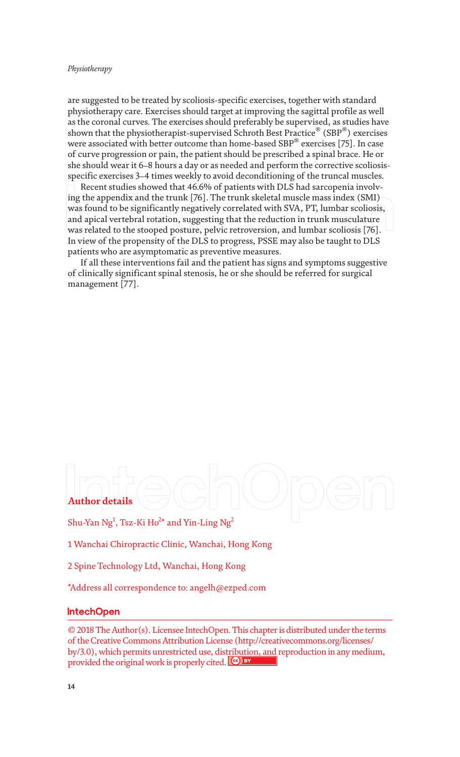are suggested to be treated by scoliosis-specific exercises, together with standard physiotherapy care. Exercises should target at improving the sagittal profile as well as the coronal curves. The exercises should preferably be supervised, as studies have shown that the physiotherapist-supervised Schroth Best Practice $^\circledast$  (SBP $^\circledast$ ) exercises were associated with better outcome than home-based SBP $^\circ$  exercises [75]. In case of curve progression or pain, the patient should be prescribed a spinal brace. He or she should wear it 6–8 hours a day or as needed and perform the corrective scoliosisspecific exercises 3–4 times weekly to avoid deconditioning of the truncal muscles.

Recent studies showed that 46.6% of patients with DLS had sarcopenia involving the appendix and the trunk [76]. The trunk skeletal muscle mass index (SMI) was found to be significantly negatively correlated with SVA, PT, lumbar scoliosis, and apical vertebral rotation, suggesting that the reduction in trunk musculature was related to the stooped posture, pelvic retroversion, and lumbar scoliosis [76]. In view of the propensity of the DLS to progress, PSSE may also be taught to DLS patients who are asymptomatic as preventive measures.

If all these interventions fail and the patient has signs and symptoms suggestive of clinically significant spinal stenosis, he or she should be referred for surgical management [77].

# **Author details**

Shu-Yan Ng<sup>1</sup>, Tsz-Ki Ho<sup>2</sup>\* and Yin-Ling Ng<sup>2</sup>

1 Wanchai Chiropractic Clinic, Wanchai, Hong Kong

2 Spine Technology Ltd, Wanchai, Hong Kong

\*Address all correspondence to: angelh@ezped.com

## IntechOpen

© 2018 The Author(s). Licensee IntechOpen. This chapter is distributed under the terms of the Creative Commons Attribution License (http://creativecommons.org/licenses/ by/3.0), which permits unrestricted use, distribution, and reproduction in any medium, provided the original work is properly cited. Cco BY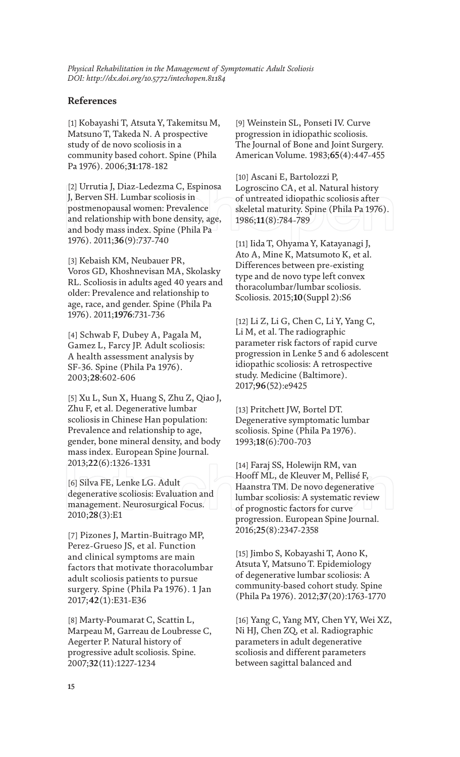## **References**

[1] Kobayashi T, Atsuta Y, Takemitsu M, Matsuno T, Takeda N. A prospective study of de novo scoliosis in a community based cohort. Spine (Phila Pa 1976). 2006;**31**:178-182

[2] Urrutia J, Diaz-Ledezma C, Espinosa J, Berven SH. Lumbar scoliosis in postmenopausal women: Prevalence and relationship with bone density, age, and body mass index. Spine (Phila Pa 1976). 2011;**36**(9):737-740

[3] Kebaish KM, Neubauer PR, Voros GD, Khoshnevisan MA, Skolasky RL. Scoliosis in adults aged 40 years and older: Prevalence and relationship to age, race, and gender. Spine (Phila Pa 1976). 2011;**1976**:731-736

[4] Schwab F, Dubey A, Pagala M, Gamez L, Farcy JP. Adult scoliosis: A health assessment analysis by SF-36. Spine (Phila Pa 1976). 2003;**28**:602-606

[5] Xu L, Sun X, Huang S, Zhu Z, Qiao J, Zhu F, et al. Degenerative lumbar scoliosis in Chinese Han population: Prevalence and relationship to age, gender, bone mineral density, and body mass index. European Spine Journal. 2013;**22**(6):1326-1331

[6] Silva FE, Lenke LG. Adult degenerative scoliosis: Evaluation and management. Neurosurgical Focus. 2010;**28**(3):E1

[7] Pizones J, Martin-Buitrago MP, Perez-Grueso JS, et al. Function and clinical symptoms are main factors that motivate thoracolumbar adult scoliosis patients to pursue surgery. Spine (Phila Pa 1976). 1 Jan 2017;**42**(1):E31-E36

[8] Marty-Poumarat C, Scattin L, Marpeau M, Garreau de Loubresse C, Aegerter P. Natural history of progressive adult scoliosis. Spine. 2007;**32**(11):1227-1234

[9] Weinstein SL, Ponseti IV. Curve progression in idiopathic scoliosis. The Journal of Bone and Joint Surgery. American Volume. 1983;**65**(4):447-455

[10] Ascani E, Bartolozzi P, Logroscino CA, et al. Natural history of untreated idiopathic scoliosis after skeletal maturity. Spine (Phila Pa 1976). 1986;**11**(8):784-789

[11] Iida T, Ohyama Y, Katayanagi J, Ato A, Mine K, Matsumoto K, et al. Differences between pre-existing type and de novo type left convex thoracolumbar/lumbar scoliosis. Scoliosis. 2015;**10**(Suppl 2):S6

[12] Li Z, Li G, Chen C, Li Y, Yang C, Li M, et al. The radiographic parameter risk factors of rapid curve progression in Lenke 5 and 6 adolescent idiopathic scoliosis: A retrospective study. Medicine (Baltimore). 2017;**96**(52):e9425

[13] Pritchett JW, Bortel DT. Degenerative symptomatic lumbar scoliosis. Spine (Phila Pa 1976). 1993;**18**(6):700-703

[14] Faraj SS, Holewijn RM, van Hooff ML, de Kleuver M, Pellisé F, Haanstra TM. De novo degenerative lumbar scoliosis: A systematic review of prognostic factors for curve progression. European Spine Journal. 2016;**25**(8):2347-2358

[15] Jimbo S, Kobayashi T, Aono K, Atsuta Y, Matsuno T. Epidemiology of degenerative lumbar scoliosis: A community-based cohort study. Spine (Phila Pa 1976). 2012;**37**(20):1763-1770

[16] Yang C, Yang MY, Chen YY, Wei XZ, Ni HJ, Chen ZQ, et al. Radiographic parameters in adult degenerative scoliosis and different parameters between sagittal balanced and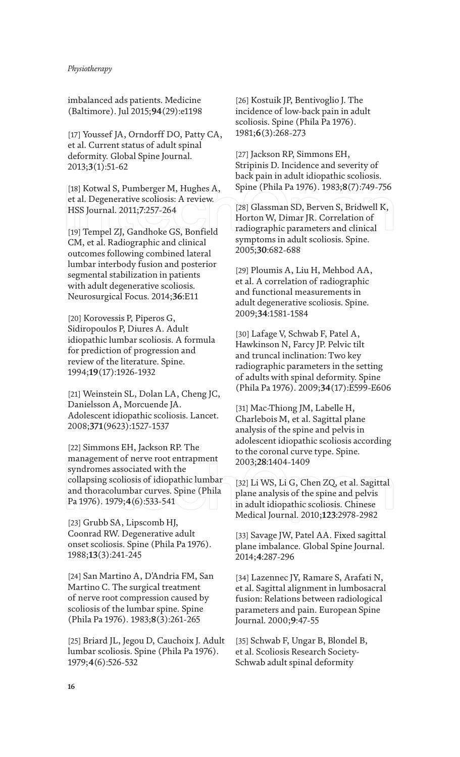imbalanced ads patients. Medicine (Baltimore). Jul 2015;**94**(29):e1198

[17] Youssef JA, Orndorff DO, Patty CA, et al. Current status of adult spinal deformity. Global Spine Journal. 2013;**3**(1):51-62

[18] Kotwal S, Pumberger M, Hughes A, et al. Degenerative scoliosis: A review. HSS Journal. 2011;**7**:257-264

[19] Tempel ZJ, Gandhoke GS, Bonfield CM, et al. Radiographic and clinical outcomes following combined lateral lumbar interbody fusion and posterior segmental stabilization in patients with adult degenerative scoliosis. Neurosurgical Focus. 2014;**36**:E11

[20] Korovessis P, Piperos G, Sidiropoulos P, Diures A. Adult idiopathic lumbar scoliosis. A formula for prediction of progression and review of the literature. Spine. 1994;**19**(17):1926-1932

[21] Weinstein SL, Dolan LA, Cheng JC, Danielsson A, Morcuende JA. Adolescent idiopathic scoliosis. Lancet. 2008;**371**(9623):1527-1537

[22] Simmons EH, Jackson RP. The management of nerve root entrapment syndromes associated with the collapsing scoliosis of idiopathic lumbar and thoracolumbar curves. Spine (Phila Pa 1976). 1979;**4**(6):533-541

[23] Grubb SA, Lipscomb HJ, Coonrad RW. Degenerative adult onset scoliosis. Spine (Phila Pa 1976). 1988;**13**(3):241-245

[24] San Martino A, D'Andria FM, San Martino C. The surgical treatment of nerve root compression caused by scoliosis of the lumbar spine. Spine (Phila Pa 1976). 1983;**8**(3):261-265

[25] Briard JL, Jegou D, Cauchoix J. Adult lumbar scoliosis. Spine (Phila Pa 1976). 1979;**4**(6):526-532

[26] Kostuik JP, Bentivoglio J. The incidence of low-back pain in adult scoliosis. Spine (Phila Pa 1976). 1981;**6**(3):268-273

[27] Jackson RP, Simmons EH, Stripinis D. Incidence and severity of back pain in adult idiopathic scoliosis. Spine (Phila Pa 1976). 1983;**8**(7):749-756

[28] Glassman SD, Berven S, Bridwell K, Horton W, Dimar JR. Correlation of radiographic parameters and clinical symptoms in adult scoliosis. Spine. 2005;**30**:682-688

[29] Ploumis A, Liu H, Mehbod AA, et al. A correlation of radiographic and functional measurements in adult degenerative scoliosis. Spine. 2009;**34**:1581-1584

[30] Lafage V, Schwab F, Patel A, Hawkinson N, Farcy JP. Pelvic tilt and truncal inclination: Two key radiographic parameters in the setting of adults with spinal deformity. Spine (Phila Pa 1976). 2009;**34**(17):E599-E606

[31] Mac-Thiong JM, Labelle H, Charlebois M, et al. Sagittal plane analysis of the spine and pelvis in adolescent idiopathic scoliosis according to the coronal curve type. Spine. 2003;**28**:1404-1409

[32] Li WS, Li G, Chen ZQ, et al. Sagittal plane analysis of the spine and pelvis in adult idiopathic scoliosis. Chinese Medical Journal. 2010;**123**:2978-2982

[33] Savage JW, Patel AA. Fixed sagittal plane imbalance. Global Spine Journal. 2014;**4**:287-296

[34] Lazennec JY, Ramare S, Arafati N, et al. Sagittal alignment in lumbosacral fusion: Relations between radiological parameters and pain. European Spine Journal. 2000;**9**:47-55

[35] Schwab F, Ungar B, Blondel B, et al. Scoliosis Research Society-Schwab adult spinal deformity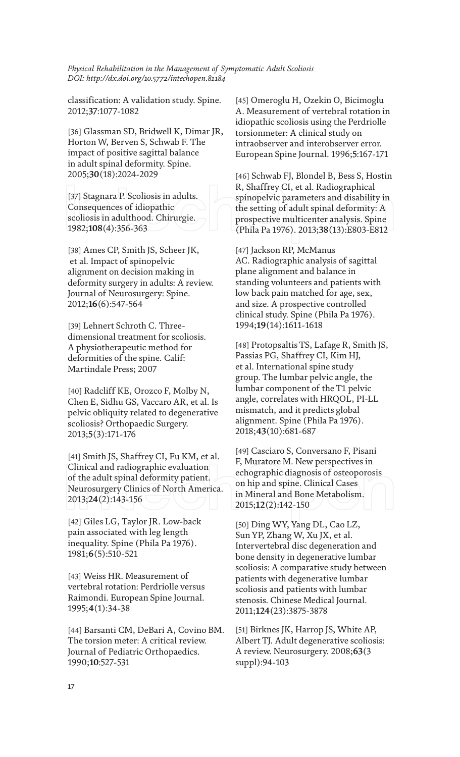classification: A validation study. Spine. 2012;**37**:1077-1082

[36] Glassman SD, Bridwell K, Dimar JR, Horton W, Berven S, Schwab F. The impact of positive sagittal balance in adult spinal deformity. Spine. 2005;**30**(18):2024-2029

[37] Stagnara P. Scoliosis in adults. Consequences of idiopathic scoliosis in adulthood. Chirurgie. 1982;**108**(4):356-363

[38] Ames CP, Smith JS, Scheer JK, et al. Impact of spinopelvic alignment on decision making in deformity surgery in adults: A review. Journal of Neurosurgery: Spine. 2012;**16**(6):547-564

[39] Lehnert Schroth C. Threedimensional treatment for scoliosis. A physiotherapeutic method for deformities of the spine. Calif: Martindale Press; 2007

[40] Radcliff KE, Orozco F, Molby N, Chen E, Sidhu GS, Vaccaro AR, et al. Is pelvic obliquity related to degenerative scoliosis? Orthopaedic Surgery. 2013;**5**(3):171-176

[41] Smith JS, Shaffrey CI, Fu KM, et al. Clinical and radiographic evaluation of the adult spinal deformity patient. Neurosurgery Clinics of North America. 2013;**24**(2):143-156

[42] Giles LG, Taylor JR. Low-back pain associated with leg length inequality. Spine (Phila Pa 1976). 1981;**6**(5):510-521

[43] Weiss HR. Measurement of vertebral rotation: Perdriolle versus Raimondi. European Spine Journal. 1995;**4**(1):34-38

[44] Barsanti CM, DeBari A, Covino BM. The torsion meter: A critical review. Journal of Pediatric Orthopaedics. 1990;**10**:527-531

[45] Omeroglu H, Ozekin O, Bicimoglu A. Measurement of vertebral rotation in idiopathic scoliosis using the Perdriolle torsionmeter: A clinical study on intraobserver and interobserver error. European Spine Journal. 1996;**5**:167-171

[46] Schwab FJ, Blondel B, Bess S, Hostin R, Shaffrey CI, et al. Radiographical spinopelvic parameters and disability in the setting of adult spinal deformity: A prospective multicenter analysis. Spine (Phila Pa 1976). 2013;**38**(13):E803-E812

[47] Jackson RP, McManus AC. Radiographic analysis of sagittal plane alignment and balance in standing volunteers and patients with low back pain matched for age, sex, and size. A prospective controlled clinical study. Spine (Phila Pa 1976). 1994;**19**(14):1611-1618

[48] Protopsaltis TS, Lafage R, Smith JS, Passias PG, Shaffrey CI, Kim HJ, et al. International spine study group. The lumbar pelvic angle, the lumbar component of the T1 pelvic angle, correlates with HRQOL, PI-LL mismatch, and it predicts global alignment. Spine (Phila Pa 1976). 2018;**43**(10):681-687

[49] Casciaro S, Conversano F, Pisani F, Muratore M. New perspectives in echographic diagnosis of osteoporosis on hip and spine. Clinical Cases in Mineral and Bone Metabolism. 2015;**12**(2):142-150

[50] Ding WY, Yang DL, Cao LZ, Sun YP, Zhang W, Xu JX, et al. Intervertebral disc degeneration and bone density in degenerative lumbar scoliosis: A comparative study between patients with degenerative lumbar scoliosis and patients with lumbar stenosis. Chinese Medical Journal. 2011;**124**(23):3875-3878

[51] Birknes JK, Harrop JS, White AP, Albert TJ. Adult degenerative scoliosis: A review. Neurosurgery. 2008;**63**(3 suppl):94-103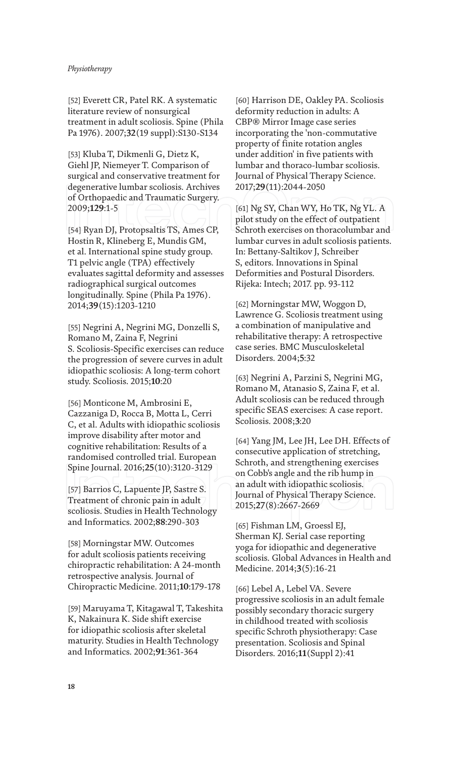[52] Everett CR, Patel RK. A systematic literature review of nonsurgical treatment in adult scoliosis. Spine (Phila Pa 1976). 2007;**32**(19 suppl):S130-S134

[53] Kluba T, Dikmenli G, Dietz K, Giehl JP, Niemeyer T. Comparison of surgical and conservative treatment for degenerative lumbar scoliosis. Archives of Orthopaedic and Traumatic Surgery. 2009;**129**:1-5

[54] Ryan DJ, Protopsaltis TS, Ames CP, Hostin R, Klineberg E, Mundis GM, et al. International spine study group. T1 pelvic angle (TPA) effectively evaluates sagittal deformity and assesses radiographical surgical outcomes longitudinally. Spine (Phila Pa 1976). 2014;**39**(15):1203-1210

[55] Negrini A, Negrini MG, Donzelli S, Romano M, Zaina F, Negrini S. Scoliosis-Specific exercises can reduce the progression of severe curves in adult idiopathic scoliosis: A long-term cohort study. Scoliosis. 2015;**10**:20

[56] Monticone M, Ambrosini E, Cazzaniga D, Rocca B, Motta L, Cerri C, et al. Adults with idiopathic scoliosis improve disability after motor and cognitive rehabilitation: Results of a randomised controlled trial. European Spine Journal. 2016;**25**(10):3120-3129

[57] Barrios C, Lapuente JP, Sastre S. Treatment of chronic pain in adult scoliosis. Studies in Health Technology and Informatics. 2002;**88**:290-303

[58] Morningstar MW. Outcomes for adult scoliosis patients receiving chiropractic rehabilitation: A 24-month retrospective analysis. Journal of Chiropractic Medicine. 2011;**10**:179-178

[59] Maruyama T, Kitagawal T, Takeshita K, Nakainura K. Side shift exercise for idiopathic scoliosis after skeletal maturity. Studies in Health Technology and Informatics. 2002;**91**:361-364

[60] Harrison DE, Oakley PA. Scoliosis deformity reduction in adults: A CBP® Mirror Image case series incorporating the 'non-commutative property of finite rotation angles under addition' in five patients with lumbar and thoraco-lumbar scoliosis. Journal of Physical Therapy Science. 2017;**29**(11):2044-2050

[61] Ng SY, Chan WY, Ho TK, Ng YL. A pilot study on the effect of outpatient Schroth exercises on thoracolumbar and lumbar curves in adult scoliosis patients. In: Bettany-Saltikov J, Schreiber S, editors. Innovations in Spinal Deformities and Postural Disorders. Rijeka: Intech; 2017. pp. 93-112

[62] Morningstar MW, Woggon D, Lawrence G. Scoliosis treatment using a combination of manipulative and rehabilitative therapy: A retrospective case series. BMC Musculoskeletal Disorders. 2004;**5**:32

[63] Negrini A, Parzini S, Negrini MG, Romano M, Atanasio S, Zaina F, et al. Adult scoliosis can be reduced through specific SEAS exercises: A case report. Scoliosis. 2008;**3**:20

[64] Yang JM, Lee JH, Lee DH. Effects of consecutive application of stretching, Schroth, and strengthening exercises on Cobb's angle and the rib hump in an adult with idiopathic scoliosis. Journal of Physical Therapy Science. 2015;**27**(8):2667-2669

[65] Fishman LM, Groessl EJ, Sherman KJ. Serial case reporting yoga for idiopathic and degenerative scoliosis. Global Advances in Health and Medicine. 2014;**3**(5):16-21

[66] Lebel A, Lebel VA. Severe progressive scoliosis in an adult female possibly secondary thoracic surgery in childhood treated with scoliosis specific Schroth physiotherapy: Case presentation. Scoliosis and Spinal Disorders. 2016;**11**(Suppl 2):41